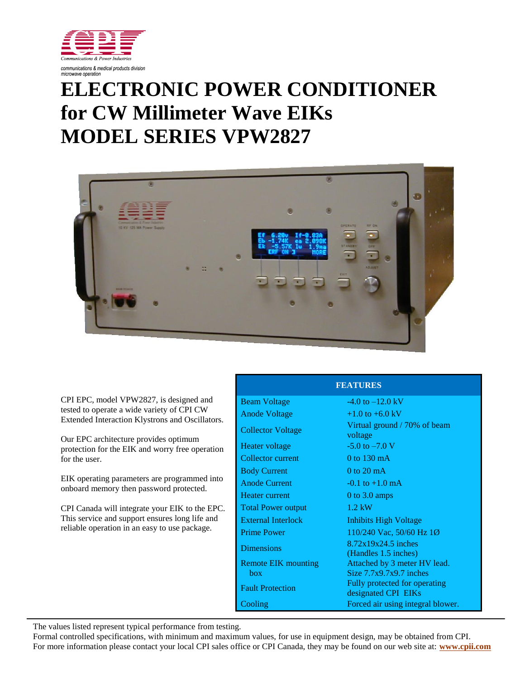

## **ELECTRONIC POWER CONDITIONER for CW Millimeter Wave EIKs MODEL SERIES VPW2827**



CPI EPC, model VPW2827, is designed and tested to operate a wide variety of CPI CW Extended Interaction Klystrons and Oscillators.

Our EPC architecture provides optimum protection for the EIK and worry free operation for the user.

EIK operating parameters are programmed into onboard memory then password protected.

CPI Canada will integrate your EIK to the EPC. This service and support ensures long life and reliable operation in an easy to use package.

| <b>Beam Voltage</b>       | $-4.0$ to $-12.0$ kV                                 |
|---------------------------|------------------------------------------------------|
| <b>Anode Voltage</b>      | $+1.0$ to $+6.0$ kV                                  |
| <b>Collector Voltage</b>  | Virtual ground / 70% of beam<br>voltage              |
| Heater voltage            | $-5.0$ to $-7.0$ V                                   |
| Collector current         | 0 to $130 \text{ mA}$                                |
| <b>Body Current</b>       | $0$ to $20$ mA                                       |
| <b>Anode Current</b>      | $-0.1$ to $+1.0$ mA                                  |
| Heater current            | 0 to $3.0 \text{ amps}$                              |
| <b>Total Power output</b> | $1.2$ kW                                             |
| <b>External Interlock</b> | Inhibits High Voltage                                |
| <b>Prime Power</b>        | 110/240 Vac, 50/60 Hz 1Ø                             |
| <b>Dimensions</b>         | $8.72x19x24.5$ inches<br>(Handles 1.5 inches)        |
| Remote EIK mounting       | Attached by 3 meter HV lead.                         |
| hox                       | Size $7.7x9.7x9.7$ inches                            |
| <b>Fault Protection</b>   | Fully protected for operating<br>designated CPI EIKs |
| Cooling                   | Forced air using integral blower.                    |

**FEATURES**

The values listed represent typical performance from testing.

Formal controlled specifications, with minimum and maximum values, for use in equipment design, may be obtained from CPI. For more information please contact your local CPI sales office or CPI Canada, they may be found on our web site at: **[www.cpii.com](http://www.cpii.com/)**